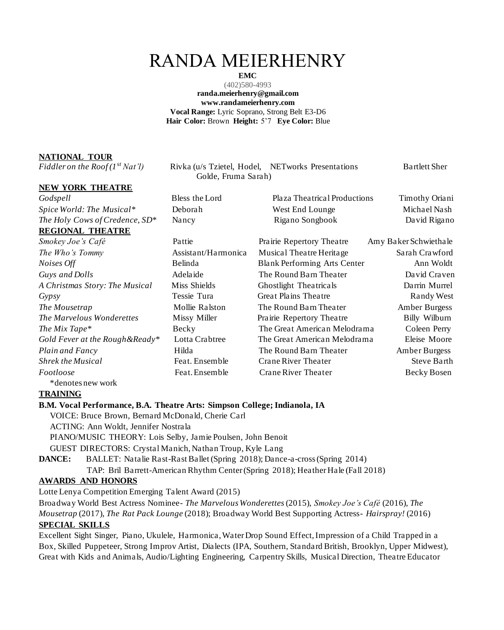# RANDA MEIERHENRY

**EMC** (402)580-4993 **randa.meierhenry@gmail.com www.randameierhenry.com Vocal Range:** Lyric Soprano, Strong Belt E3-D6 **Hair Color:** Brown **Height:** 5'7 **Eye Color:** Blue

## **NATIONAL TOUR**

### **NEW YORK THEATRE**

# **REGIONAL THEATRE**

*Fiddler on the Roof (1<sup>st</sup> Nat'l)* Rivka (u/s Tzietel, Hodel, NETworks Presentations Bartlett Sher Golde, Fruma Sarah)

*Godspell* Bless the Lord Plaza Theatrical Productions Timothy Oriani *Spice World: The Musical\** Deborah West End Lounge Michael Nash *The Holy Cows of Credence, SD<sup>\*</sup>* Nancy Rigano Songbook David Rigano

Pattie **State Prairie Repertory Theatre** Amy Baker Schwiethale Assistant/Harmonica Musical Theatre Heritage Sarah Crawford *Notative Blank Performing Arts Center* Ann Woldt Adelaide The Round Barn Theater David Craven Miss Shields **Ghostlight The Accept Containst Container** Ghostlight The Musicals Darrin Murrel *Gypsy* Tessie Tura Great Plains Theatre Randy West **Mollie Ralston** The Round Barn Theater **Amber Burgess** *The Missy Miller* Prairie Repertory Theatre Billy Wilburn Becky The Great American Melodrama Coleen Perry Lotta Crabtree The Great American Melodrama Eleise Moore *Plain and Fancy* Hilda The Round Barn Theater Amber Burgess **Feat. Ensemble Crane River Theater Steve Barth** Feat. Ensemble Crane River Theater Becky Bosen

## **TRAINING**

### **B.M. Vocal Performance, B.A. Theatre Arts: Simpson College; Indianola, IA**

VOICE: Bruce Brown, Bernard McDonald, Cherie Carl ACTING: Ann Woldt, Jennifer Nostrala PIANO/MUSIC THEORY: Lois Selby, Jamie Poulsen, John Benoit GUEST DIRECTORS: Crystal Manich, Nathan Troup, Kyle Lang **DANCE:** BALLET: Natalie Rast-Rast Ballet (Spring 2018); Dance-a-cross (Spring 2014) TAP: Bril Barrett-American Rhythm Center (Spring 2018); Heather Hale (Fall 2018)

## **AWARDS AND HONORS**

Lotte Lenya Competition Emerging Talent Award (2015)

Broadway World Best Actress Nominee- *The Marvelous Wonderettes* (2015), *Smokey Joe's Café* (2016), *The* 

*Mousetrap* (2017), *The Rat Pack Lounge* (2018); Broadway World Best Supporting Actress- *Hairspray!* (2016) **SPECIAL SKILLS** 

Excellent Sight Singer, Piano, Ukulele, Harmonica, Water Drop Sound Effect, Impression of a Child Trapped in a Box, Skilled Puppeteer, Strong Improv Artist, Dialects (IPA, Southern, Standard British, Brooklyn, Upper Midwest), Great with Kids and Animals, Audio/Lighting Engineering, Carpentry Skills, Musical Direction, Theatre Educator